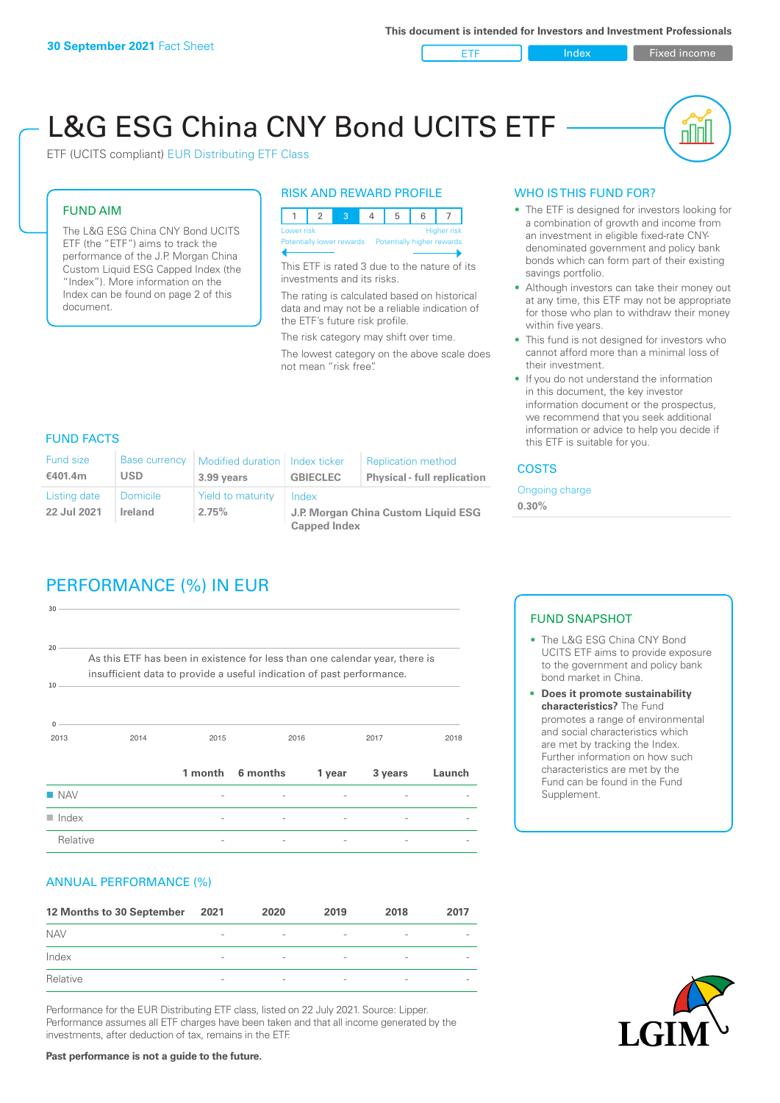ETF Index Fixed income

nl Inl

# L&G ESG China CNY Bond UCITS ETF

ETF (UCITS compliant) EUR Distributing ETF Class

#### FUND AIM

The L&G ESG China CNY Bond UCITS ETF (the "ETF") aims to track the performance of the J.P. Morgan China Custom Liquid ESG Capped Index (the "Index"). More information on the Index can be found on page 2 of this document.

#### RISK AND REWARD PROFILE



This ETF is rated 3 due to the nature of its investments and its risks.

The rating is calculated based on historical data and may not be a reliable indication of the ETF's future risk profile.

The risk category may shift over time. The lowest category on the above scale does not mean "risk free".

#### WHO IS THIS FUND FOR?

- The ETF is designed for investors looking for a combination of growth and income from an investment in eligible fixed-rate CNYdenominated government and policy bank bonds which can form part of their existing savings portfolio.
- Although investors can take their money out at any time, this ETF may not be appropriate for those who plan to withdraw their money within five years.
- This fund is not designed for investors who cannot afford more than a minimal loss of their investment.
- If you do not understand the information in this document, the key investor information document or the prospectus, we recommend that you seek additional information or advice to help you decide if this ETF is suitable for you.

#### FUND FACTS

| <b>Fund size</b><br>€401.4m | <b>Base currency</b><br>USD       | Modified duration   Index ticker<br>3.99 years | <b>GBIECLEC</b>                              | <b>Replication method</b><br><b>Physical - full replication</b> | <b>COSTS</b>               |  |
|-----------------------------|-----------------------------------|------------------------------------------------|----------------------------------------------|-----------------------------------------------------------------|----------------------------|--|
| Listing date<br>22 Jul 2021 | <b>Domicile</b><br><b>Ireland</b> | Yield to maturity<br>2.75%                     | Index<br>J.P. Morgan China Custom Liquid ESG |                                                                 | Ongoing charge<br>$0.30\%$ |  |
|                             |                                   |                                                | <b>Capped Index</b>                          |                                                                 |                            |  |

# PERFORMANCE (%) IN EUR

| $\blacksquare$ Index  |                                                                                                                                                      |         |          |        |         |        |
|-----------------------|------------------------------------------------------------------------------------------------------------------------------------------------------|---------|----------|--------|---------|--------|
| <b>NAV</b>            |                                                                                                                                                      |         |          |        |         |        |
|                       |                                                                                                                                                      | 1 month | 6 months | 1 year | 3 years | Launch |
| $\Omega$<br>2013      | 2014                                                                                                                                                 | 2015    | 2016     |        | 2017    | 2018   |
| 10                    | As this ETF has been in existence for less than one calendar year, there is<br>insufficient data to provide a useful indication of past performance. |         |          |        |         |        |
| 30<br>20 <sup>1</sup> |                                                                                                                                                      |         |          |        |         |        |
|                       |                                                                                                                                                      |         |          |        |         |        |

#### ANNUAL PERFORMANCE (%)

| 12 Months to 30 September | 2021                     | 2020                     | 2019            | 2018                     | 2017                     |
|---------------------------|--------------------------|--------------------------|-----------------|--------------------------|--------------------------|
| <b>NAV</b>                | $\overline{\phantom{0}}$ | $\overline{\phantom{a}}$ | $\qquad \qquad$ | $\qquad \qquad$          | $\overline{\phantom{a}}$ |
| Index                     | $\overline{\phantom{a}}$ | $\overline{\phantom{a}}$ |                 | $\overline{\phantom{a}}$ |                          |
| Relative                  | $\qquad \qquad$          | $\overline{\phantom{a}}$ | $\qquad \qquad$ | $\overline{\phantom{0}}$ | $\overline{\phantom{a}}$ |

Performance for the EUR Distributing ETF class, listed on 22 July 2021. Source: Lipper. Performance assumes all ETF charges have been taken and that all income generated by the investments, after deduction of tax, remains in the ETF.

#### FUND SNAPSHOT

- The L&G ESG China CNY Bond UCITS ETF aims to provide exposure to the government and policy bank bond market in China.
- **• Does it promote sustainability characteristics?** The Fund promotes a range of environmental and social characteristics which are met by tracking the Index. Further information on how such characteristics are met by the Fund can be found in the Fund Supplement.



**Past performance is not a guide to the future.**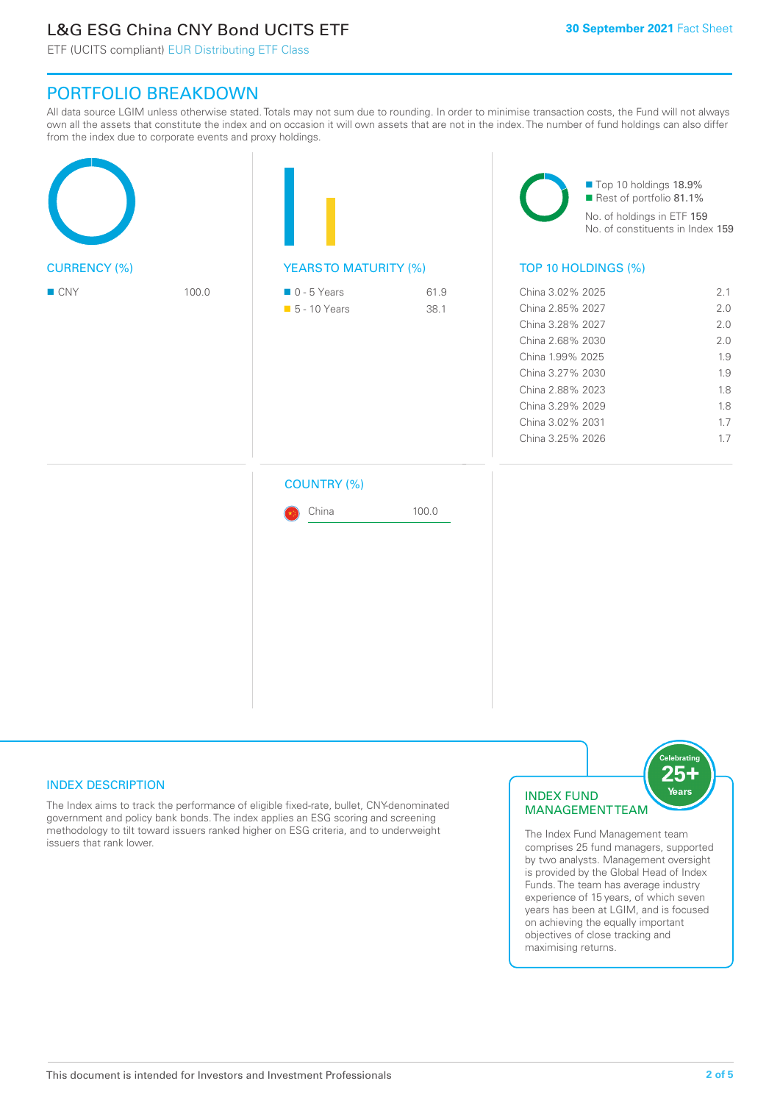# L&G ESG China CNY Bond UCITS ETF

ETF (UCITS compliant) EUR Distributing ETF Class

## PORTFOLIO BREAKDOWN

All data source LGIM unless otherwise stated. Totals may not sum due to rounding. In order to minimise transaction costs, the Fund will not always own all the assets that constitute the index and on occasion it will own assets that are not in the index. The number of fund holdings can also differ from the index due to corporate events and proxy holdings.

| <b>CURRENCY (%)</b> |       |                                              |              | Top 10 holdings 18.9%<br>Rest of portfolio 81.1%<br>No. of holdings in ETF 159<br>No. of constituents in Index 159                                                                                   |                                                                    |  |
|---------------------|-------|----------------------------------------------|--------------|------------------------------------------------------------------------------------------------------------------------------------------------------------------------------------------------------|--------------------------------------------------------------------|--|
|                     |       | <b>YEARSTO MATURITY (%)</b>                  |              | TOP 10 HOLDINGS (%)                                                                                                                                                                                  |                                                                    |  |
| $\blacksquare$ CNY  | 100.0 | $\blacksquare$ 0 - 5 Years<br>• 5 - 10 Years | 61.9<br>38.1 | China 3.02% 2025<br>China 2.85% 2027<br>China 3.28% 2027<br>China 2.68% 2030<br>China 1.99% 2025<br>China 3.27% 2030<br>China 2.88% 2023<br>China 3.29% 2029<br>China 3.02% 2031<br>China 3.25% 2026 | 2.1<br>2.0<br>2.0<br>2.0<br>1.9<br>1.9<br>1.8<br>1.8<br>1.7<br>1.7 |  |
|                     |       | <b>COUNTRY (%)</b>                           |              |                                                                                                                                                                                                      |                                                                    |  |
|                     |       | China                                        | 100.0        |                                                                                                                                                                                                      |                                                                    |  |
|                     |       |                                              |              |                                                                                                                                                                                                      |                                                                    |  |
|                     |       |                                              |              |                                                                                                                                                                                                      |                                                                    |  |

#### INDEX DESCRIPTION

The Index aims to track the performance of eligible fixed-rate, bullet, CNY-denominated government and policy bank bonds. The index applies an ESG scoring and screening methodology to tilt toward issuers ranked higher on ESG criteria, and to underweight issuers that rank lower.

#### INDEX FUND MANAGEMENT TEAM



The Index Fund Management team comprises 25 fund managers, supported by two analysts. Management oversight is provided by the Global Head of Index Funds. The team has average industry experience of 15 years, of which seven years has been at LGIM, and is focused on achieving the equally important objectives of close tracking and maximising returns.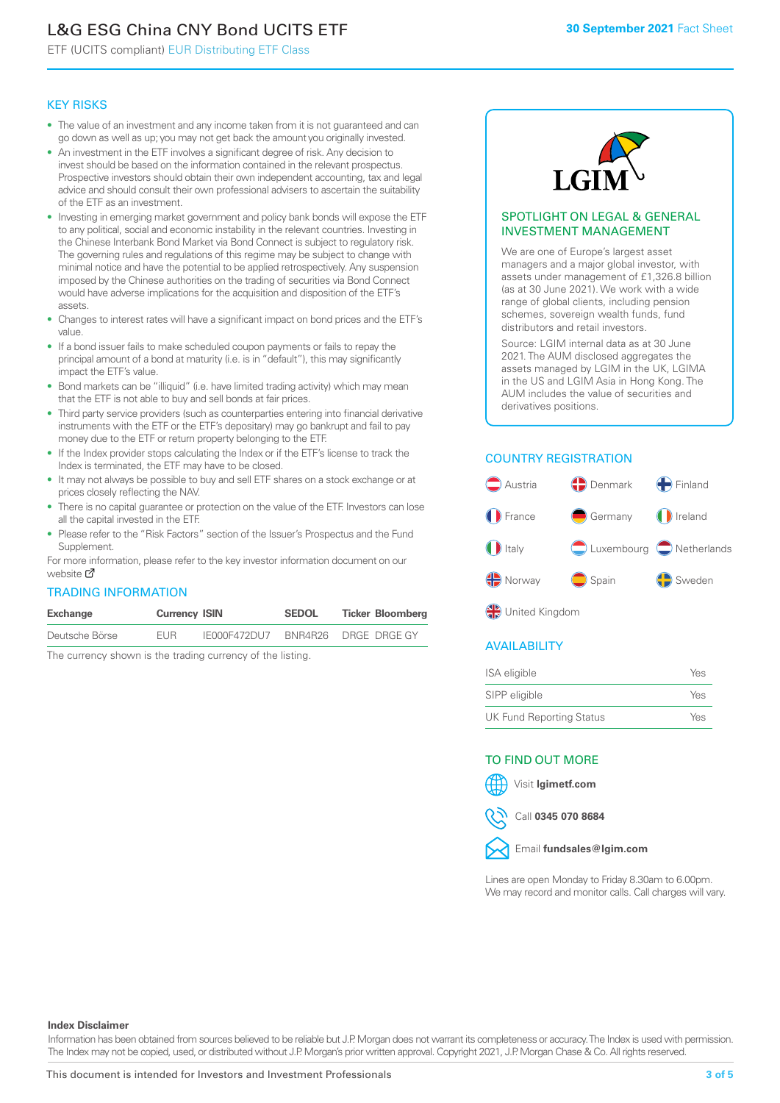# L&G ESG China CNY Bond UCITS ETF

ETF (UCITS compliant) EUR Distributing ETF Class

#### KEY RISKS

- The value of an investment and any income taken from it is not guaranteed and can go down as well as up; you may not get back the amount you originally invested.
- An investment in the ETF involves a significant degree of risk. Any decision to invest should be based on the information contained in the relevant prospectus. Prospective investors should obtain their own independent accounting, tax and legal advice and should consult their own professional advisers to ascertain the suitability of the ETF as an investment.
- Investing in emerging market government and policy bank bonds will expose the ETF to any political, social and economic instability in the relevant countries. Investing in the Chinese Interbank Bond Market via Bond Connect is subject to regulatory risk. The governing rules and regulations of this regime may be subject to change with minimal notice and have the potential to be applied retrospectively. Any suspension imposed by the Chinese authorities on the trading of securities via Bond Connect would have adverse implications for the acquisition and disposition of the ETF's assets.
- Changes to interest rates will have a significant impact on bond prices and the ETF's value.
- If a bond issuer fails to make scheduled coupon payments or fails to repay the principal amount of a bond at maturity (i.e. is in "default"), this may significantly impact the ETF's value.
- Bond markets can be "illiquid" (i.e. have limited trading activity) which may mean that the ETF is not able to buy and sell bonds at fair prices.
- Third party service providers (such as counterparties entering into financial derivative instruments with the ETF or the ETF's depositary) may go bankrupt and fail to pay money due to the ETF or return property belonging to the ETF.
- If the Index provider stops calculating the Index or if the ETF's license to track the Index is terminated, the ETF may have to be closed.
- It may not always be possible to buy and sell ETF shares on a stock exchange or at prices closely reflecting the NAV.
- There is no capital guarantee or protection on the value of the ETF. Investors can lose all the capital invested in the ETF.
- Please refer to the "Risk Factors" section of the Issuer's Prospectus and the Fund Supplement.

For mo[re inf](https://www.lgimetf.com/)ormation, please refer to the key investor information document on our website M

#### TRADING INFORMATION

| Exchange       | <b>Currency ISIN</b> |              | <b>SEDOL</b> | <b>Ticker Bloomberg</b> |
|----------------|----------------------|--------------|--------------|-------------------------|
| Deutsche Börse | <b>FUR</b>           | IE000F472DU7 |              | BNR4R26 DRGE DRGE GY    |

The currency shown is the trading currency of the listing.



#### SPOTLIGHT ON LEGAL & GENERAL INVESTMENT MANAGEMENT

We are one of Europe's largest asset managers and a major global investor, with assets under management of £1,326.8 billion (as at 30 June 2021). We work with a wide range of global clients, including pension schemes, sovereign wealth funds, fund distributors and retail investors.

Source: LGIM internal data as at 30 June 2021. The AUM disclosed aggregates the assets managed by LGIM in the UK, LGIMA in the US and LGIM Asia in Hong Kong. The AUM includes the value of securities and derivatives positions.

### COUNTRY REGISTRATION



**OR** United Kingdom

#### AVAILABILITY

| ISA eligible                    | Yes |
|---------------------------------|-----|
| SIPP eligible                   | Yes |
| <b>UK Fund Reporting Status</b> | Yes |

#### TO FIND OUT MORE

Visit **lgimetf.com**



Call **0345 070 8684**



Lines are open Monday to Friday 8.30am to 6.00pm. We may record and monitor calls. Call charges will vary.

#### **Index Disclaimer**

Information has been obtained from sources believed to be reliable but J.P. Morgan does not warrant its completeness or accuracy. The Index is used with permission. The Index may not be copied, used, or distributed without J.P. Morgan's prior written approval. Copyright 2021, J.P. Morgan Chase & Co. All rights reserved.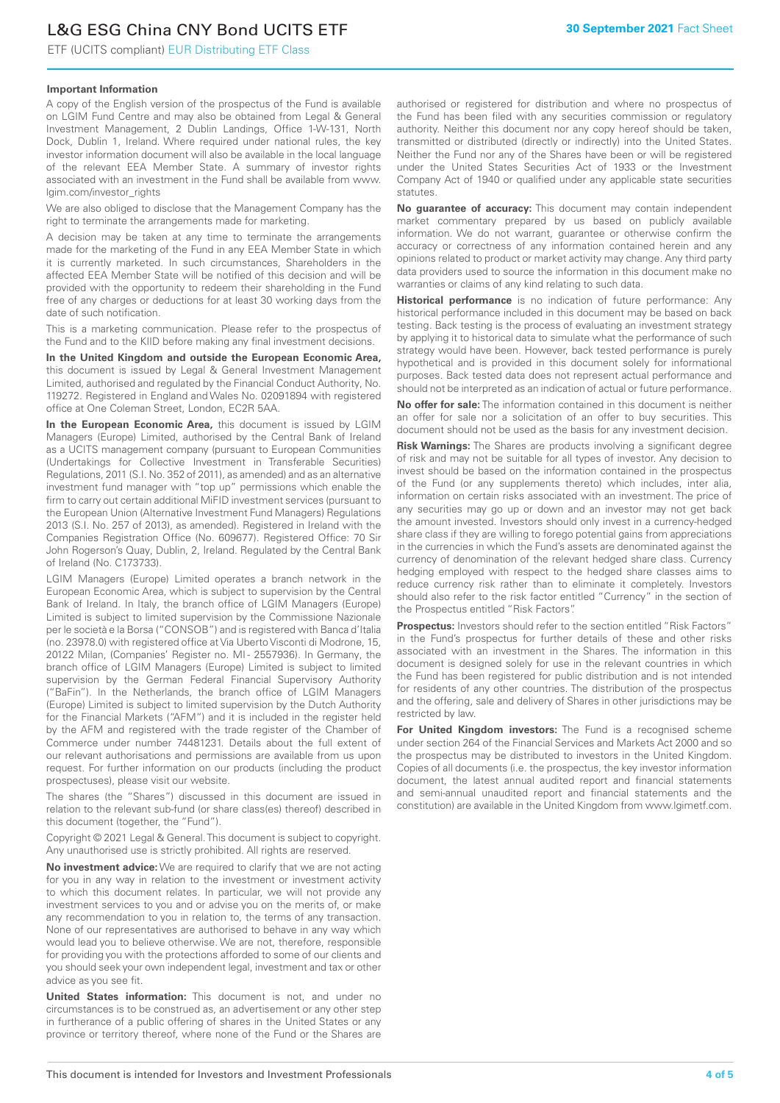# L&G ESG China CNY Bond UCITS ETF

ETF (UCITS compliant) EUR Distributing ETF Class

#### **Important Information**

A copy of the English version of the prospectus of the Fund is available on LGIM Fund Centre and may also be obtained from Legal & General Investment Management, 2 Dublin Landings, Office 1-W-131, North Dock, Dublin 1, Ireland. Where required under national rules, the key investor information document will also be available in the local language of the relevant EEA Member State. A summary of investor rights associated with an investment in the Fund shall be available from www. lgim.com/investor\_rights

We are also obliged to disclose that the Management Company has the right to terminate the arrangements made for marketing.

A decision may be taken at any time to terminate the arrangements made for the marketing of the Fund in any EEA Member State in which it is currently marketed. In such circumstances, Shareholders in the affected EEA Member State will be notified of this decision and will be provided with the opportunity to redeem their shareholding in the Fund free of any charges or deductions for at least 30 working days from the date of such notification.

This is a marketing communication. Please refer to the prospectus of the Fund and to the KIID before making any final investment decisions.

**In the United Kingdom and outside the European Economic Area,** this document is issued by Legal & General Investment Management Limited, authorised and regulated by the Financial Conduct Authority, No. 119272. Registered in England and Wales No. 02091894 with registered office at One Coleman Street, London, EC2R 5AA.

**In the European Economic Area,** this document is issued by LGIM Managers (Europe) Limited, authorised by the Central Bank of Ireland as a UCITS management company (pursuant to European Communities (Undertakings for Collective Investment in Transferable Securities) Regulations, 2011 (S.I. No. 352 of 2011), as amended) and as an alternative investment fund manager with "top up" permissions which enable the firm to carry out certain additional MiFID investment services (pursuant to the European Union (Alternative Investment Fund Managers) Regulations 2013 (S.I. No. 257 of 2013), as amended). Registered in Ireland with the Companies Registration Office (No. 609677). Registered Office: 70 Sir John Rogerson's Quay, Dublin, 2, Ireland. Regulated by the Central Bank of Ireland (No. C173733).

LGIM Managers (Europe) Limited operates a branch network in the European Economic Area, which is subject to supervision by the Central Bank of Ireland. In Italy, the branch office of LGIM Managers (Europe) Limited is subject to limited supervision by the Commissione Nazionale per le società e la Borsa ("CONSOB") and is registered with Banca d'Italia (no. 23978.0) with registered office at Via Uberto Visconti di Modrone, 15, 20122 Milan, (Companies' Register no. MI - 2557936). In Germany, the branch office of LGIM Managers (Europe) Limited is subject to limited supervision by the German Federal Financial Supervisory Authority ("BaFin"). In the Netherlands, the branch office of LGIM Managers (Europe) Limited is subject to limited supervision by the Dutch Authority for the Financial Markets ("AFM") and it is included in the register held by the AFM and registered with the trade register of the Chamber of Commerce under number 74481231. Details about the full extent of our relevant authorisations and permissions are available from us upon request. For further information on our products (including the product prospectuses), please visit our website.

The shares (the "Shares") discussed in this document are issued in relation to the relevant sub-fund (or share class(es) thereof) described in this document (together, the "Fund").

Copyright © 2021 Legal & General. This document is subject to copyright. Any unauthorised use is strictly prohibited. All rights are reserved.

**No investment advice:** We are required to clarify that we are not acting for you in any way in relation to the investment or investment activity to which this document relates. In particular, we will not provide any investment services to you and or advise you on the merits of, or make any recommendation to you in relation to, the terms of any transaction. None of our representatives are authorised to behave in any way which would lead you to believe otherwise. We are not, therefore, responsible for providing you with the protections afforded to some of our clients and you should seek your own independent legal, investment and tax or other advice as you see fit.

**United States information:** This document is not, and under no circumstances is to be construed as, an advertisement or any other step in furtherance of a public offering of shares in the United States or any province or territory thereof, where none of the Fund or the Shares are authorised or registered for distribution and where no prospectus of the Fund has been filed with any securities commission or regulatory authority. Neither this document nor any copy hereof should be taken, transmitted or distributed (directly or indirectly) into the United States. Neither the Fund nor any of the Shares have been or will be registered under the United States Securities Act of 1933 or the Investment Company Act of 1940 or qualified under any applicable state securities statutes.

**No guarantee of accuracy:** This document may contain independent market commentary prepared by us based on publicly available information. We do not warrant, guarantee or otherwise confirm the accuracy or correctness of any information contained herein and any opinions related to product or market activity may change. Any third party data providers used to source the information in this document make no warranties or claims of any kind relating to such data.

**Historical performance** is no indication of future performance: Any historical performance included in this document may be based on back testing. Back testing is the process of evaluating an investment strategy by applying it to historical data to simulate what the performance of such strategy would have been. However, back tested performance is purely hypothetical and is provided in this document solely for informational purposes. Back tested data does not represent actual performance and should not be interpreted as an indication of actual or future performance.

**No offer for sale:** The information contained in this document is neither an offer for sale nor a solicitation of an offer to buy securities. This document should not be used as the basis for any investment decision.

**Risk Warnings:** The Shares are products involving a significant degree of risk and may not be suitable for all types of investor. Any decision to invest should be based on the information contained in the prospectus of the Fund (or any supplements thereto) which includes, inter alia, information on certain risks associated with an investment. The price of any securities may go up or down and an investor may not get back the amount invested. Investors should only invest in a currency-hedged share class if they are willing to forego potential gains from appreciations in the currencies in which the Fund's assets are denominated against the currency of denomination of the relevant hedged share class. Currency hedging employed with respect to the hedged share classes aims to reduce currency risk rather than to eliminate it completely. Investors should also refer to the risk factor entitled "Currency" in the section of the Prospectus entitled "Risk Factors".

**Prospectus:** Investors should refer to the section entitled "Risk Factors" in the Fund's prospectus for further details of these and other risks associated with an investment in the Shares. The information in this document is designed solely for use in the relevant countries in which the Fund has been registered for public distribution and is not intended for residents of any other countries. The distribution of the prospectus and the offering, sale and delivery of Shares in other jurisdictions may be restricted by law.

**For United Kingdom investors:** The Fund is a recognised scheme under section 264 of the Financial Services and Markets Act 2000 and so the prospectus may be distributed to investors in the United Kingdom. Copies of all documents (i.e. the prospectus, the key investor information document, the latest annual audited report and financial statements and semi-annual unaudited report and financial statements and the constitution) are available in the United Kingdom from www.lgimetf.com.